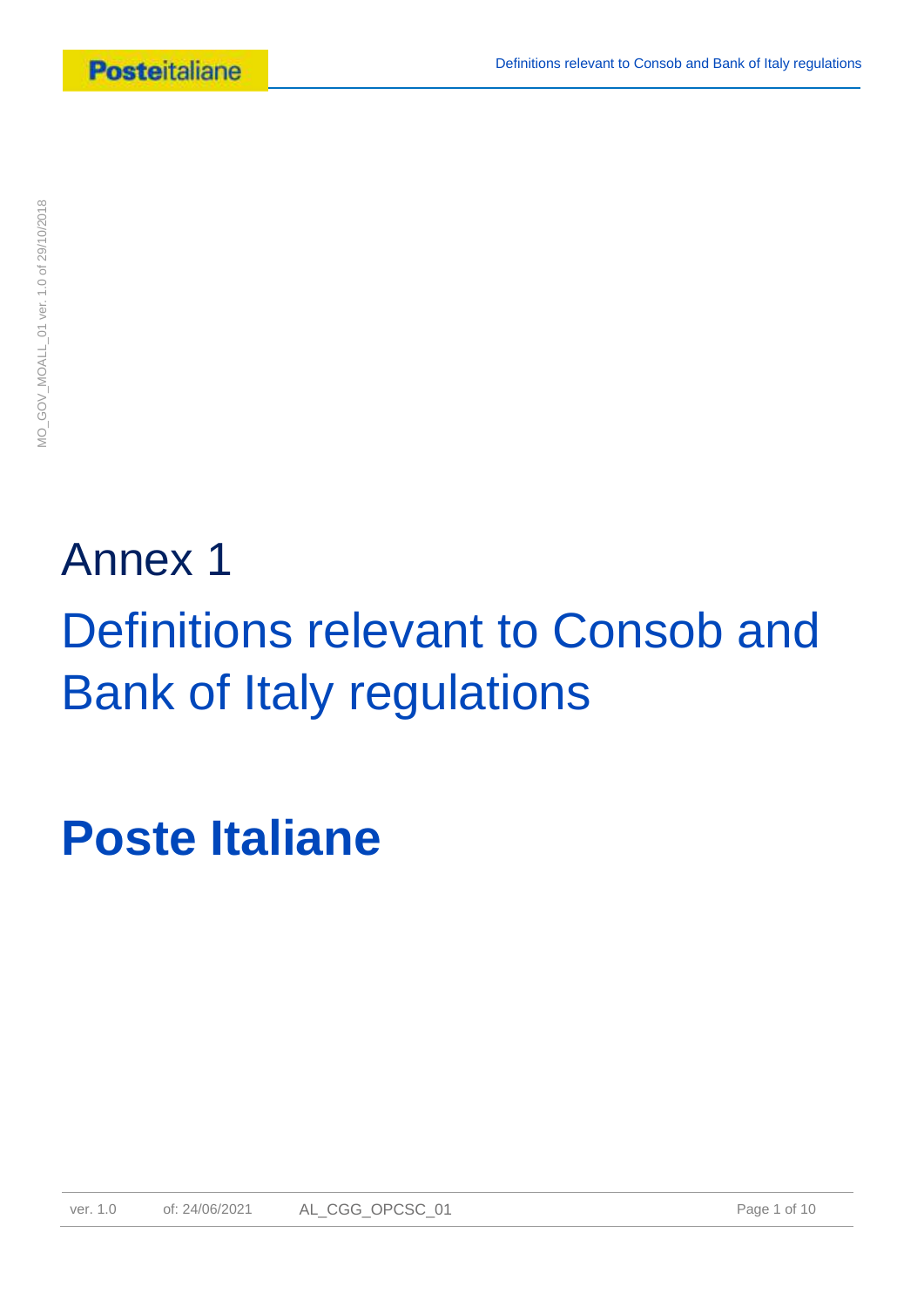# Annex 1 Definitions relevant to Consob and Bank of Italy regulations

**Poste Italiane**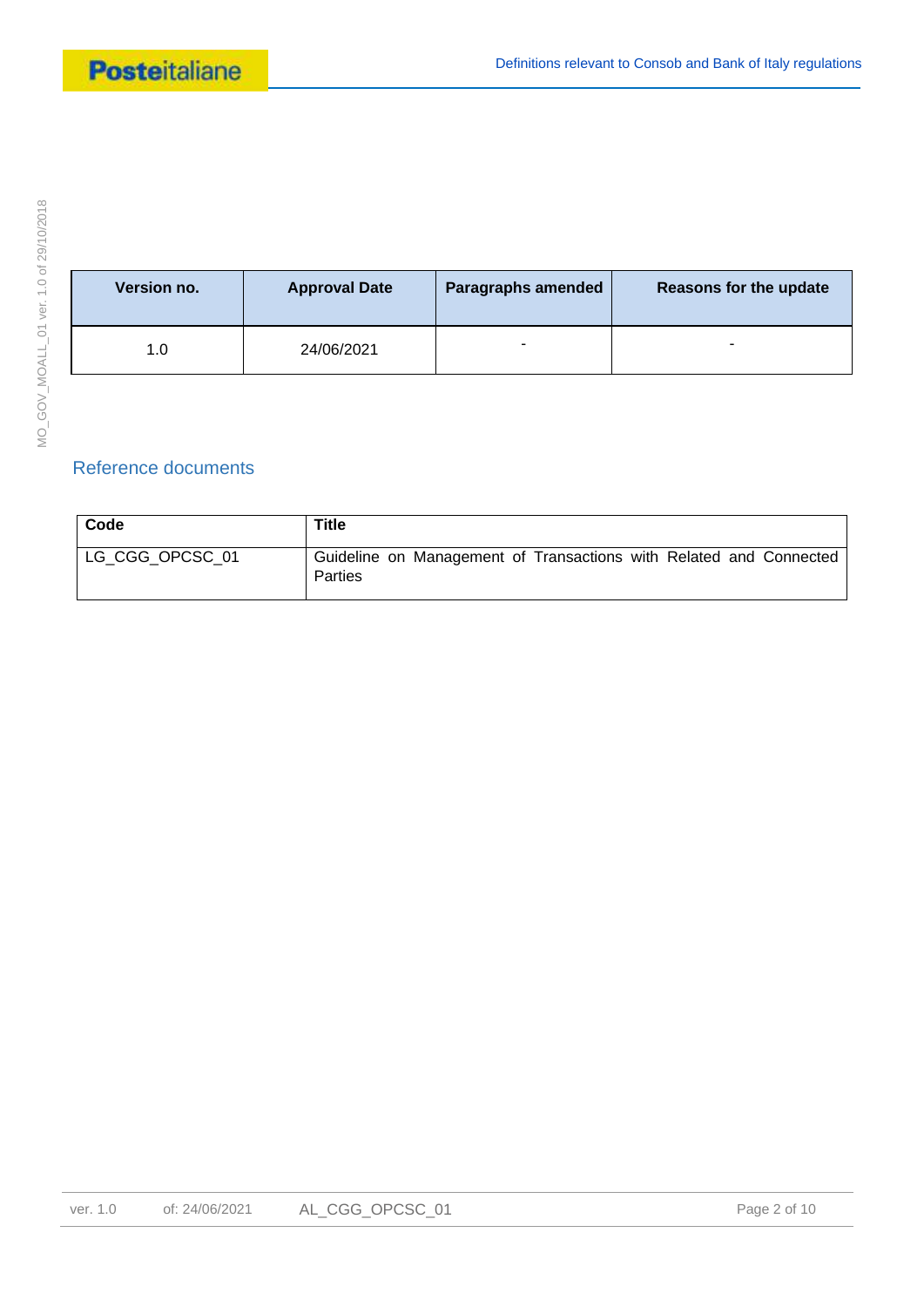| Version no. | <b>Approval Date</b> | <b>Paragraphs amended</b> | <b>Reasons for the update</b> |
|-------------|----------------------|---------------------------|-------------------------------|
| 1.0         | 24/06/2021           |                           | -                             |

# Reference documents

| Code            | Title                                                                         |
|-----------------|-------------------------------------------------------------------------------|
| LG CGG OPCSC 01 | Guideline on Management of Transactions with Related and Connected<br>Parties |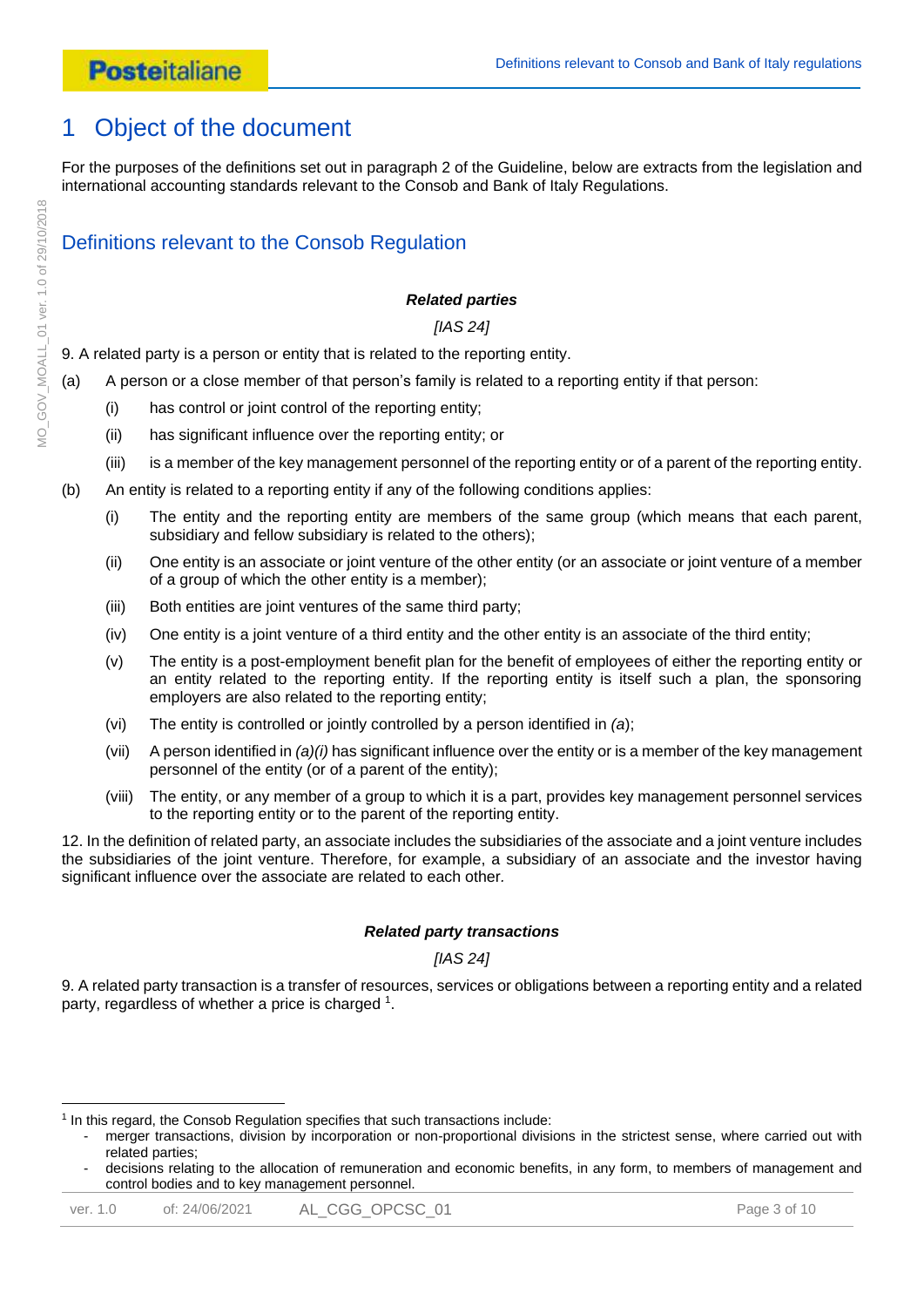# 1 Object of the document

For the purposes of the definitions set out in paragraph 2 of the Guideline, below are extracts from the legislation and international accounting standards relevant to the Consob and Bank of Italy Regulations.

Definitions relevant to the Consob Regulation

#### *Related parties*

# *[IAS 24]*

9. A related party is a person or entity that is related to the reporting entity.

- (a) A person or a close member of that person's family is related to a reporting entity if that person:
	- (i) has control or joint control of the reporting entity;
	- (ii) has significant influence over the reporting entity; or
	- (iii) is a member of the key management personnel of the reporting entity or of a parent of the reporting entity.
- (b) An entity is related to a reporting entity if any of the following conditions applies:
	- (i) The entity and the reporting entity are members of the same group (which means that each parent, subsidiary and fellow subsidiary is related to the others);
	- (ii) One entity is an associate or joint venture of the other entity (or an associate or joint venture of a member of a group of which the other entity is a member);
	- (iii) Both entities are joint ventures of the same third party;
	- (iv) One entity is a joint venture of a third entity and the other entity is an associate of the third entity;
	- (v) The entity is a post-employment benefit plan for the benefit of employees of either the reporting entity or an entity related to the reporting entity. If the reporting entity is itself such a plan, the sponsoring employers are also related to the reporting entity;
	- (vi) The entity is controlled or jointly controlled by a person identified in *(a*);
	- (vii) A person identified in *(a)(i)* has significant influence over the entity or is a member of the key management personnel of the entity (or of a parent of the entity);
	- (viii) The entity, or any member of a group to which it is a part, provides key management personnel services to the reporting entity or to the parent of the reporting entity.

12. In the definition of related party, an associate includes the subsidiaries of the associate and a joint venture includes the subsidiaries of the joint venture. Therefore, for example, a subsidiary of an associate and the investor having significant influence over the associate are related to each other*.*

# *Related party transactions*

*[IAS 24]*

9. A related party transaction is a transfer of resources, services or obligations between a reporting entity and a related party, regardless of whether a price is charged <sup>1</sup>.

**<sup>.</sup>** <sup>1</sup> In this regard, the Consob Regulation specifies that such transactions include:

merger transactions, division by incorporation or non-proportional divisions in the strictest sense, where carried out with related parties;

<sup>-</sup> decisions relating to the allocation of remuneration and economic benefits, in any form, to members of management and control bodies and to key management personnel.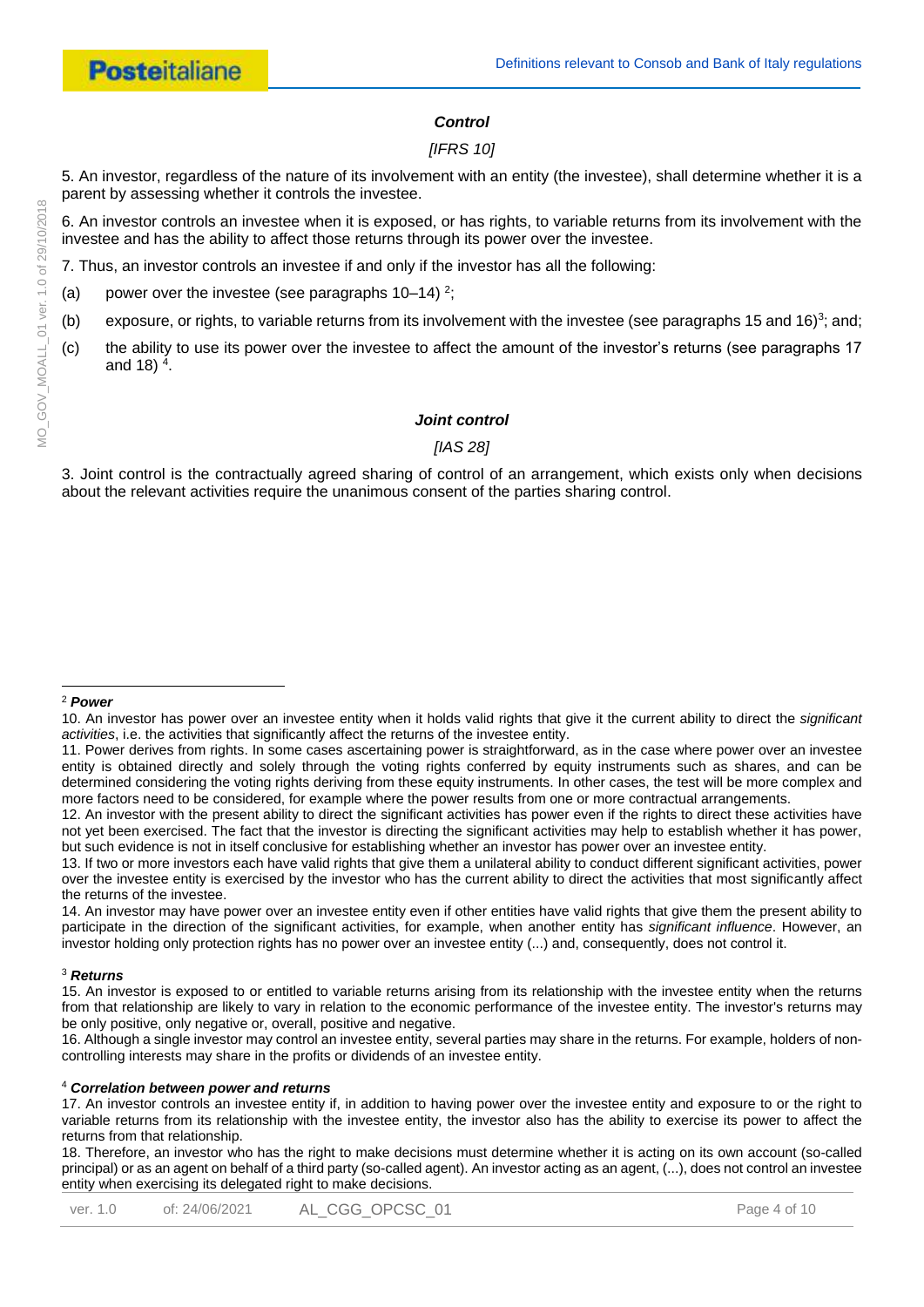#### *Control*

#### *[IFRS 10]*

5. An investor, regardless of the nature of its involvement with an entity (the investee), shall determine whether it is a parent by assessing whether it controls the investee.

6. An investor controls an investee when it is exposed, or has rights, to variable returns from its involvement with the investee and has the ability to affect those returns through its power over the investee.

7. Thus, an investor controls an investee if and only if the investor has all the following:

- (a) power over the investee (see paragraphs  $10-14$ )<sup>2</sup>;
- (b) exposure, or rights, to variable returns from its involvement with the investee (see paragraphs 15 and 16)<sup>3</sup>; and;
- (c) the ability to use its power over the investee to affect the amount of the investor's returns (see paragraphs 17 and 18)<sup>4</sup>.

#### *Joint control*

#### *[IAS 28]*

3. Joint control is the contractually agreed sharing of control of an arrangement, which exists only when decisions about the relevant activities require the unanimous consent of the parties sharing control.

14. An investor may have power over an investee entity even if other entities have valid rights that give them the present ability to participate in the direction of the significant activities, for example, when another entity has *significant influence*. However, an investor holding only protection rights has no power over an investee entity (...) and, consequently, does not control it.

#### <sup>3</sup> *Returns*

16. Although a single investor may control an investee entity, several parties may share in the returns. For example, holders of noncontrolling interests may share in the profits or dividends of an investee entity.

#### <sup>4</sup> *Correlation between power and returns*

**<sup>.</sup>** <sup>2</sup> *Power*

<sup>10.</sup> An investor has power over an investee entity when it holds valid rights that give it the current ability to direct the *significant activities*, i.e. the activities that significantly affect the returns of the investee entity.

<sup>11.</sup> Power derives from rights. In some cases ascertaining power is straightforward, as in the case where power over an investee entity is obtained directly and solely through the voting rights conferred by equity instruments such as shares, and can be determined considering the voting rights deriving from these equity instruments. In other cases, the test will be more complex and more factors need to be considered, for example where the power results from one or more contractual arrangements.

<sup>12.</sup> An investor with the present ability to direct the significant activities has power even if the rights to direct these activities have not yet been exercised. The fact that the investor is directing the significant activities may help to establish whether it has power, but such evidence is not in itself conclusive for establishing whether an investor has power over an investee entity.

<sup>13.</sup> If two or more investors each have valid rights that give them a unilateral ability to conduct different significant activities, power over the investee entity is exercised by the investor who has the current ability to direct the activities that most significantly affect the returns of the investee.

<sup>15.</sup> An investor is exposed to or entitled to variable returns arising from its relationship with the investee entity when the returns from that relationship are likely to vary in relation to the economic performance of the investee entity. The investor's returns may be only positive, only negative or, overall, positive and negative.

<sup>17.</sup> An investor controls an investee entity if, in addition to having power over the investee entity and exposure to or the right to variable returns from its relationship with the investee entity, the investor also has the ability to exercise its power to affect the returns from that relationship.

<sup>18.</sup> Therefore, an investor who has the right to make decisions must determine whether it is acting on its own account (so-called principal) or as an agent on behalf of a third party (so-called agent). An investor acting as an agent, (...), does not control an investee entity when exercising its delegated right to make decisions.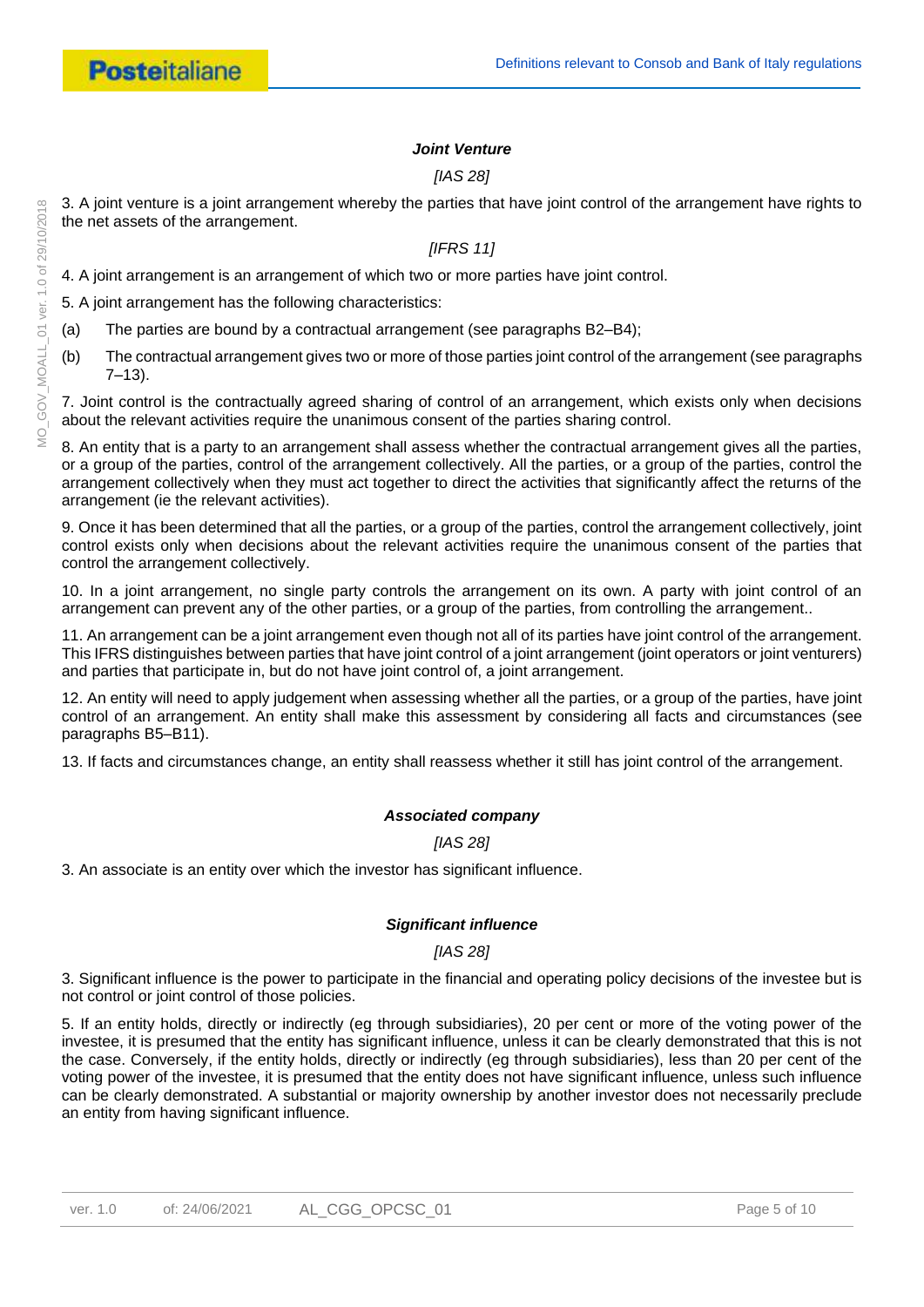# *Joint Venture*

# *[IAS 28]*

3. A joint venture is a joint arrangement whereby the parties that have joint control of the arrangement have rights to the net assets of the arrangement.

*[IFRS 11]*

4. A joint arrangement is an arrangement of which two or more parties have joint control.

5. A joint arrangement has the following characteristics:

(a) The parties are bound by a contractual arrangement (see paragraphs B2–B4);

(b) The contractual arrangement gives two or more of those parties joint control of the arrangement (see paragraphs 7–13).

7. Joint control is the contractually agreed sharing of control of an arrangement, which exists only when decisions about the relevant activities require the unanimous consent of the parties sharing control.

8. An entity that is a party to an arrangement shall assess whether the contractual arrangement gives all the parties, or a group of the parties, control of the arrangement collectively. All the parties, or a group of the parties, control the arrangement collectively when they must act together to direct the activities that significantly affect the returns of the arrangement (ie the relevant activities).

9. Once it has been determined that all the parties, or a group of the parties, control the arrangement collectively, joint control exists only when decisions about the relevant activities require the unanimous consent of the parties that control the arrangement collectively.

10. In a joint arrangement, no single party controls the arrangement on its own. A party with joint control of an arrangement can prevent any of the other parties, or a group of the parties, from controlling the arrangement..

11. An arrangement can be a joint arrangement even though not all of its parties have joint control of the arrangement. This IFRS distinguishes between parties that have joint control of a joint arrangement (joint operators or joint venturers) and parties that participate in, but do not have joint control of, a joint arrangement.

12. An entity will need to apply judgement when assessing whether all the parties, or a group of the parties, have joint control of an arrangement. An entity shall make this assessment by considering all facts and circumstances (see paragraphs B5–B11).

13. If facts and circumstances change, an entity shall reassess whether it still has joint control of the arrangement.

#### *Associated company*

#### *[IAS 28]*

3. An associate is an entity over which the investor has significant influence.

#### *Significant influence*

#### *[IAS 28]*

3. Significant influence is the power to participate in the financial and operating policy decisions of the investee but is not control or joint control of those policies.

5. If an entity holds, directly or indirectly (eg through subsidiaries), 20 per cent or more of the voting power of the investee, it is presumed that the entity has significant influence, unless it can be clearly demonstrated that this is not the case. Conversely, if the entity holds, directly or indirectly (eg through subsidiaries), less than 20 per cent of the voting power of the investee, it is presumed that the entity does not have significant influence, unless such influence can be clearly demonstrated. A substantial or majority ownership by another investor does not necessarily preclude an entity from having significant influence.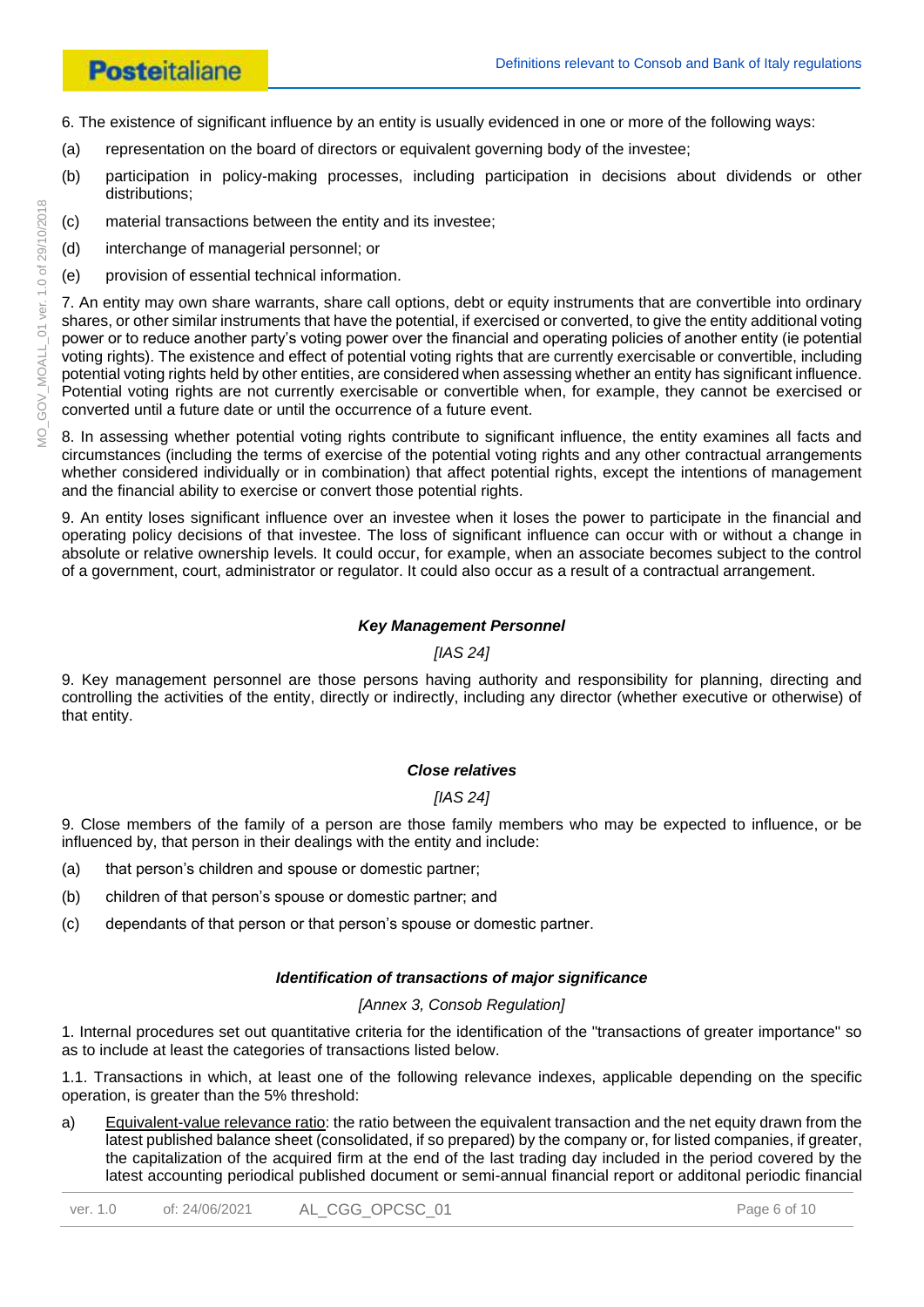6. The existence of significant influence by an entity is usually evidenced in one or more of the following ways:

- (a) representation on the board of directors or equivalent governing body of the investee;
- (b) participation in policy-making processes, including participation in decisions about dividends or other distributions;
- (c) material transactions between the entity and its investee;
- (d) interchange of managerial personnel; or
- (e) provision of essential technical information.

7. An entity may own share warrants, share call options, debt or equity instruments that are convertible into ordinary shares, or other similar instruments that have the potential, if exercised or converted, to give the entity additional voting power or to reduce another party's voting power over the financial and operating policies of another entity (ie potential voting rights). The existence and effect of potential voting rights that are currently exercisable or convertible, including potential voting rights held by other entities, are considered when assessing whether an entity has significant influence. Potential voting rights are not currently exercisable or convertible when, for example, they cannot be exercised or converted until a future date or until the occurrence of a future event.

8. In assessing whether potential voting rights contribute to significant influence, the entity examines all facts and circumstances (including the terms of exercise of the potential voting rights and any other contractual arrangements whether considered individually or in combination) that affect potential rights, except the intentions of management and the financial ability to exercise or convert those potential rights.

9. An entity loses significant influence over an investee when it loses the power to participate in the financial and operating policy decisions of that investee. The loss of significant influence can occur with or without a change in absolute or relative ownership levels. It could occur, for example, when an associate becomes subject to the control of a government, court, administrator or regulator. It could also occur as a result of a contractual arrangement.

# *Key Management Personnel*

*[IAS 24]*

9. Key management personnel are those persons having authority and responsibility for planning, directing and controlling the activities of the entity, directly or indirectly, including any director (whether executive or otherwise) of that entity.

#### *Close relatives*

#### *[IAS 24]*

9. Close members of the family of a person are those family members who may be expected to influence, or be influenced by, that person in their dealings with the entity and include:

- (a) that person's children and spouse or domestic partner;
- (b) children of that person's spouse or domestic partner; and
- (c) dependants of that person or that person's spouse or domestic partner.

#### *Identification of transactions of major significance*

#### *[Annex 3, Consob Regulation]*

1. Internal procedures set out quantitative criteria for the identification of the "transactions of greater importance" so as to include at least the categories of transactions listed below.

1.1. Transactions in which, at least one of the following relevance indexes, applicable depending on the specific operation, is greater than the 5% threshold:

a) Equivalent-value relevance ratio: the ratio between the equivalent transaction and the net equity drawn from the latest published balance sheet (consolidated, if so prepared) by the company or, for listed companies, if greater, the capitalization of the acquired firm at the end of the last trading day included in the period covered by the latest accounting periodical published document or semi-annual financial report or additonal periodic financial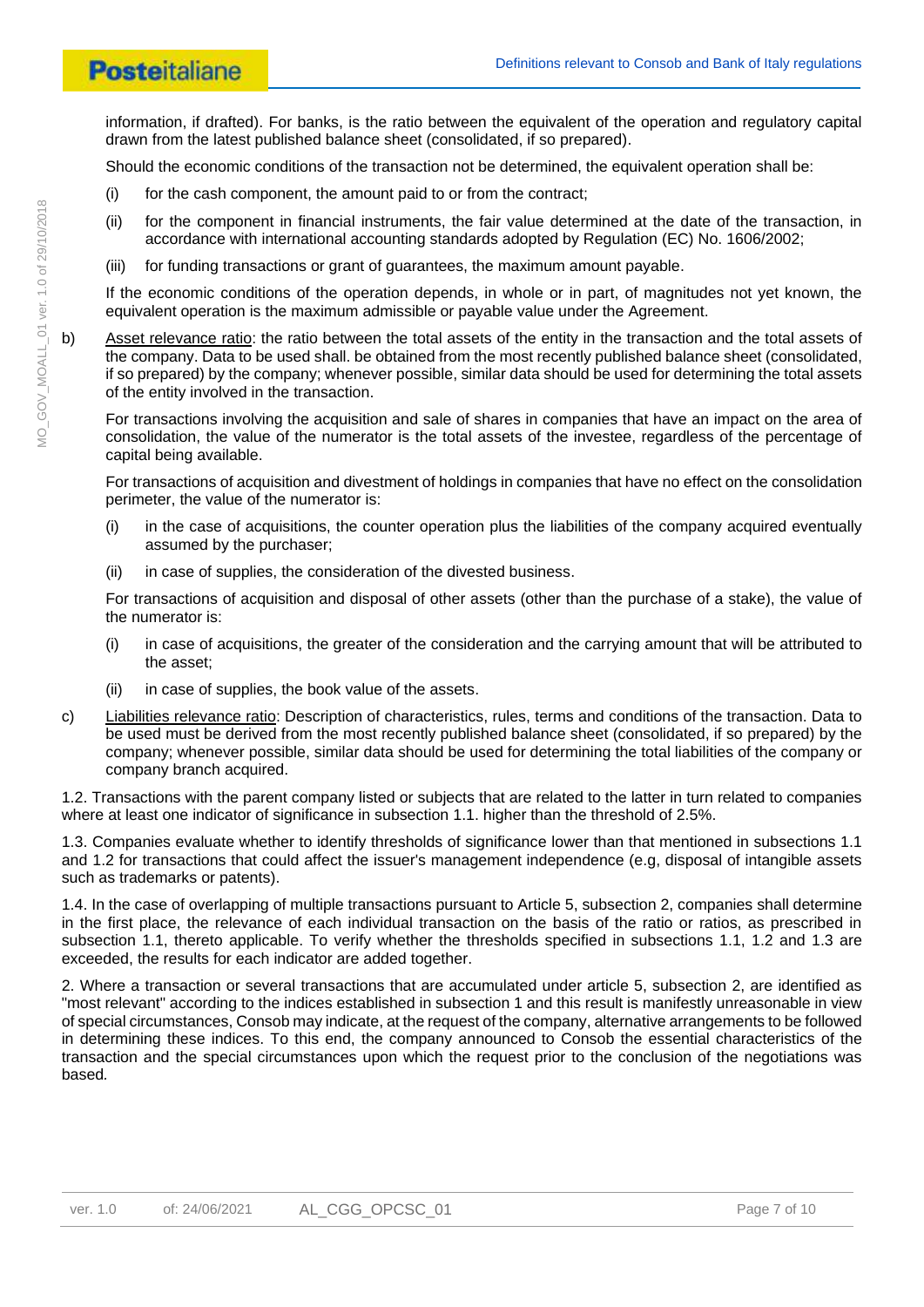information, if drafted). For banks, is the ratio between the equivalent of the operation and regulatory capital drawn from the latest published balance sheet (consolidated, if so prepared).

Should the economic conditions of the transaction not be determined, the equivalent operation shall be:

- (i) for the cash component, the amount paid to or from the contract;
- (ii) for the component in financial instruments, the fair value determined at the date of the transaction, in accordance with international accounting standards adopted by Regulation (EC) No. 1606/2002;
- (iii) for funding transactions or grant of guarantees, the maximum amount payable.

If the economic conditions of the operation depends, in whole or in part, of magnitudes not yet known, the equivalent operation is the maximum admissible or payable value under the Agreement.

b) Asset relevance ratio: the ratio between the total assets of the entity in the transaction and the total assets of the company. Data to be used shall. be obtained from the most recently published balance sheet (consolidated, if so prepared) by the company; whenever possible, similar data should be used for determining the total assets of the entity involved in the transaction.

For transactions involving the acquisition and sale of shares in companies that have an impact on the area of consolidation, the value of the numerator is the total assets of the investee, regardless of the percentage of capital being available.

For transactions of acquisition and divestment of holdings in companies that have no effect on the consolidation perimeter, the value of the numerator is:

- (i) in the case of acquisitions, the counter operation plus the liabilities of the company acquired eventually assumed by the purchaser;
- (ii) in case of supplies, the consideration of the divested business.

For transactions of acquisition and disposal of other assets (other than the purchase of a stake), the value of the numerator is:

- (i) in case of acquisitions, the greater of the consideration and the carrying amount that will be attributed to the asset;
- (ii) in case of supplies, the book value of the assets.
- c) Liabilities relevance ratio: Description of characteristics, rules, terms and conditions of the transaction. Data to be used must be derived from the most recently published balance sheet (consolidated, if so prepared) by the company; whenever possible, similar data should be used for determining the total liabilities of the company or company branch acquired.

1.2. Transactions with the parent company listed or subjects that are related to the latter in turn related to companies where at least one indicator of significance in subsection 1.1. higher than the threshold of 2.5%.

1.3. Companies evaluate whether to identify thresholds of significance lower than that mentioned in subsections 1.1 and 1.2 for transactions that could affect the issuer's management independence (e.g, disposal of intangible assets such as trademarks or patents).

1.4. In the case of overlapping of multiple transactions pursuant to Article 5, subsection 2, companies shall determine in the first place, the relevance of each individual transaction on the basis of the ratio or ratios, as prescribed in subsection 1.1, thereto applicable. To verify whether the thresholds specified in subsections 1.1, 1.2 and 1.3 are exceeded, the results for each indicator are added together.

2. Where a transaction or several transactions that are accumulated under article 5, subsection 2, are identified as "most relevant" according to the indices established in subsection 1 and this result is manifestly unreasonable in view of special circumstances, Consob may indicate, at the request of the company, alternative arrangements to be followed in determining these indices. To this end, the company announced to Consob the essential characteristics of the transaction and the special circumstances upon which the request prior to the conclusion of the negotiations was based*.*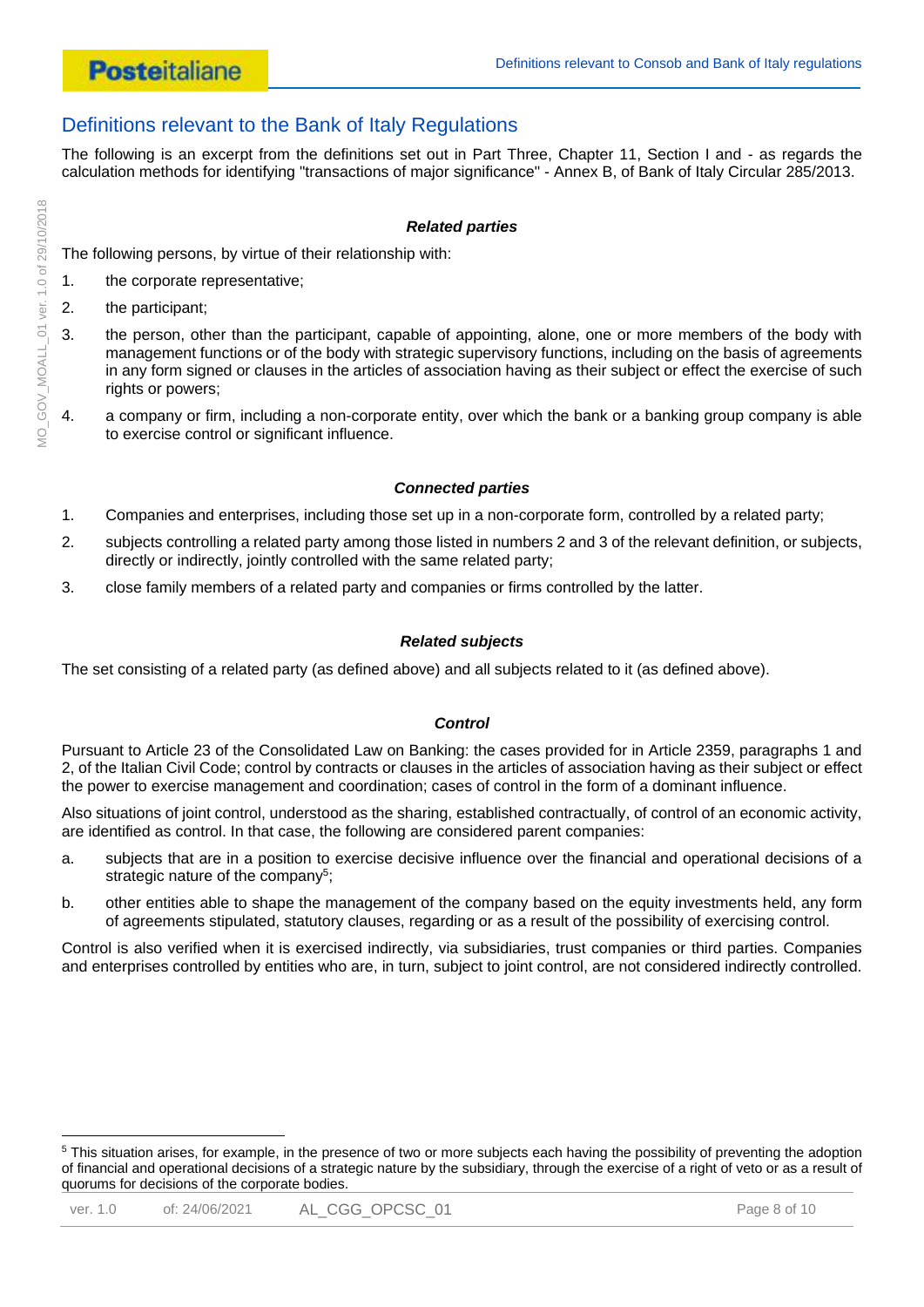# Definitions relevant to the Bank of Italy Regulations

The following is an excerpt from the definitions set out in Part Three, Chapter 11, Section I and - as regards the calculation methods for identifying "transactions of major significance" - Annex B, of Bank of Italy Circular 285/2013.

#### *Related parties*

The following persons, by virtue of their relationship with:

- 1. the corporate representative;
- 2. the participant;

3. the person, other than the participant, capable of appointing, alone, one or more members of the body with management functions or of the body with strategic supervisory functions, including on the basis of agreements in any form signed or clauses in the articles of association having as their subject or effect the exercise of such rights or powers;

4. a company or firm, including a non-corporate entity, over which the bank or a banking group company is able to exercise control or significant influence.

# *Connected parties*

- 1. Companies and enterprises, including those set up in a non-corporate form, controlled by a related party;
- 2. subjects controlling a related party among those listed in numbers 2 and 3 of the relevant definition, or subjects, directly or indirectly, jointly controlled with the same related party;
- 3. close family members of a related party and companies or firms controlled by the latter.

# *Related subjects*

The set consisting of a related party (as defined above) and all subjects related to it (as defined above).

# *Control*

Pursuant to Article 23 of the Consolidated Law on Banking: the cases provided for in Article 2359, paragraphs 1 and 2, of the Italian Civil Code; control by contracts or clauses in the articles of association having as their subject or effect the power to exercise management and coordination; cases of control in the form of a dominant influence.

Also situations of joint control, understood as the sharing, established contractually, of control of an economic activity, are identified as control. In that case, the following are considered parent companies:

- a. subjects that are in a position to exercise decisive influence over the financial and operational decisions of a strategic nature of the company<sup>5</sup>;
- b. other entities able to shape the management of the company based on the equity investments held, any form of agreements stipulated, statutory clauses, regarding or as a result of the possibility of exercising control.

Control is also verified when it is exercised indirectly, via subsidiaries, trust companies or third parties. Companies and enterprises controlled by entities who are, in turn, subject to joint control, are not considered indirectly controlled.

**.**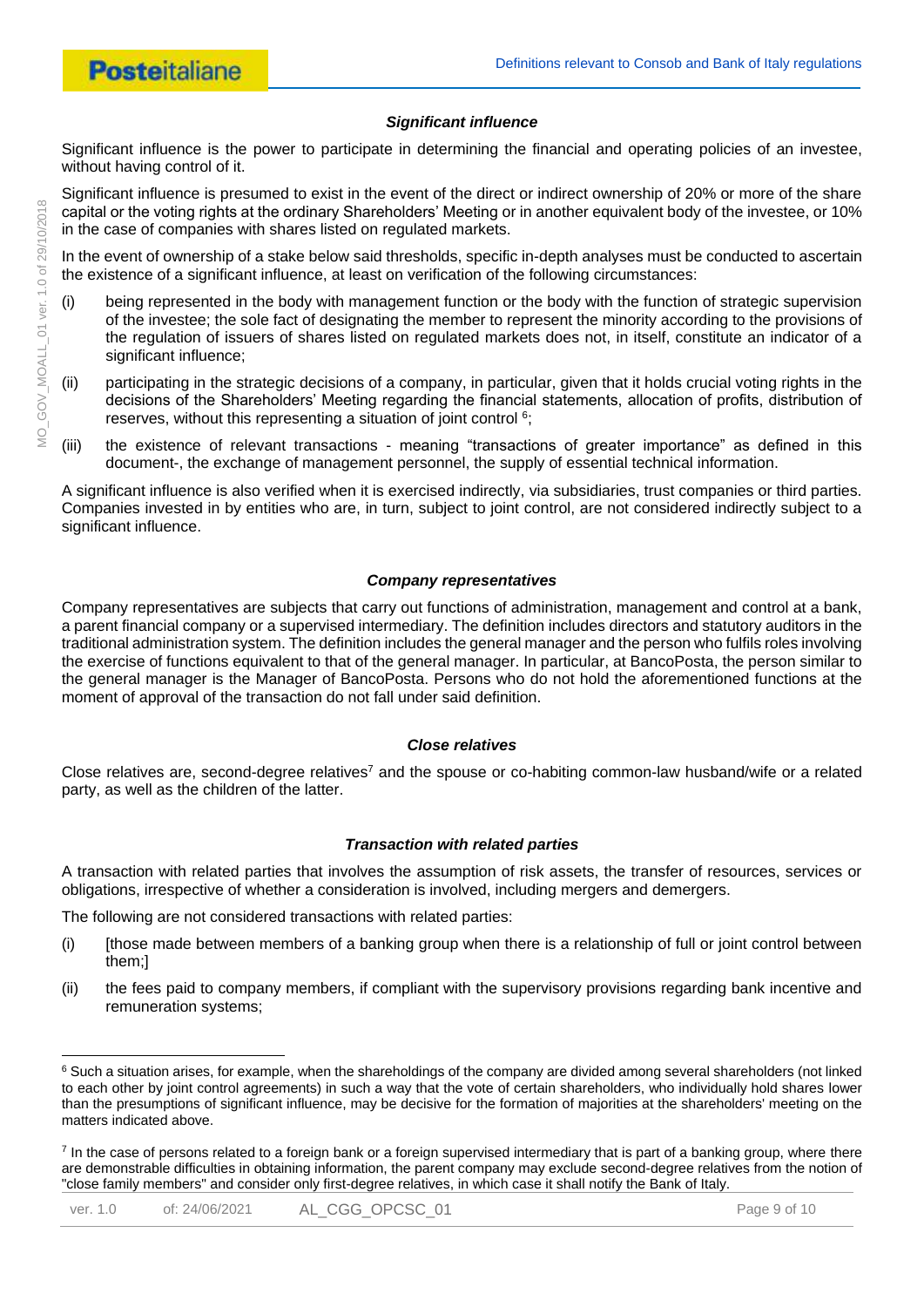# *Significant influence*

Significant influence is the power to participate in determining the financial and operating policies of an investee, without having control of it.

Significant influence is presumed to exist in the event of the direct or indirect ownership of 20% or more of the share capital or the voting rights at the ordinary Shareholders' Meeting or in another equivalent body of the investee, or 10% in the case of companies with shares listed on regulated markets.

In the event of ownership of a stake below said thresholds, specific in-depth analyses must be conducted to ascertain the existence of a significant influence, at least on verification of the following circumstances:

- (i) being represented in the body with management function or the body with the function of strategic supervision of the investee; the sole fact of designating the member to represent the minority according to the provisions of the regulation of issuers of shares listed on regulated markets does not, in itself, constitute an indicator of a significant influence;
- (ii) participating in the strategic decisions of a company, in particular, given that it holds crucial voting rights in the decisions of the Shareholders' Meeting regarding the financial statements, allocation of profits, distribution of reserves, without this representing a situation of joint control  $6$ ;
- (iii) the existence of relevant transactions meaning "transactions of greater importance" as defined in this document-, the exchange of management personnel, the supply of essential technical information.

A significant influence is also verified when it is exercised indirectly, via subsidiaries, trust companies or third parties. Companies invested in by entities who are, in turn, subject to joint control, are not considered indirectly subject to a significant influence.

#### *Company representatives*

Company representatives are subjects that carry out functions of administration, management and control at a bank, a parent financial company or a supervised intermediary. The definition includes directors and statutory auditors in the traditional administration system. The definition includes the general manager and the person who fulfils roles involving the exercise of functions equivalent to that of the general manager. In particular, at BancoPosta, the person similar to the general manager is the Manager of BancoPosta. Persons who do not hold the aforementioned functions at the moment of approval of the transaction do not fall under said definition.

#### *Close relatives*

Close relatives are, second-degree relatives<sup>7</sup> and the spouse or co-habiting common-law husband/wife or a related party, as well as the children of the latter.

#### *Transaction with related parties*

A transaction with related parties that involves the assumption of risk assets, the transfer of resources, services or obligations, irrespective of whether a consideration is involved, including mergers and demergers.

The following are not considered transactions with related parties:

- (i) [those made between members of a banking group when there is a relationship of full or joint control between them;]
- (ii) the fees paid to company members, if compliant with the supervisory provisions regarding bank incentive and remuneration systems;

**<sup>.</sup>**  $6$  Such a situation arises, for example, when the shareholdings of the company are divided among several shareholders (not linked to each other by joint control agreements) in such a way that the vote of certain shareholders, who individually hold shares lower than the presumptions of significant influence, may be decisive for the formation of majorities at the shareholders' meeting on the matters indicated above.

<sup>&</sup>lt;sup>7</sup> In the case of persons related to a foreign bank or a foreign supervised intermediary that is part of a banking group, where there are demonstrable difficulties in obtaining information, the parent company may exclude second-degree relatives from the notion of "close family members" and consider only first-degree relatives, in which case it shall notify the Bank of Italy.